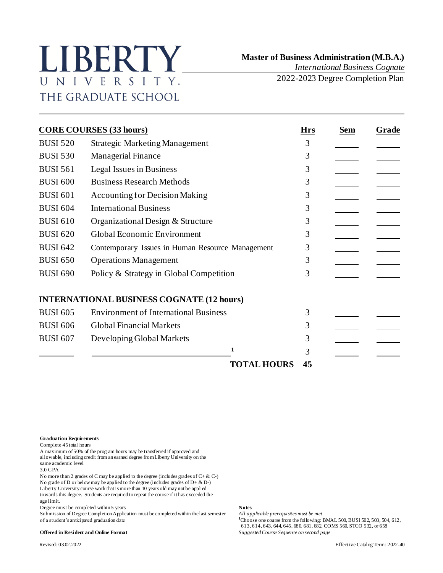## LIBERTY UNIVERSITY. THE GRADUATE SCHOOL

 **Master of Business Administration (M.B.A.)** *International Business Cognate*

2022-2023 Degree Completion Plan

| <b>CORE COURSES (33 hours)</b> |                                                  |                    |    | <b>Sem</b> | Grade |
|--------------------------------|--------------------------------------------------|--------------------|----|------------|-------|
| <b>BUSI 520</b>                | <b>Strategic Marketing Management</b>            | 3                  |    |            |       |
| <b>BUSI 530</b>                | <b>Managerial Finance</b>                        |                    | 3  |            |       |
| <b>BUSI 561</b>                | Legal Issues in Business                         |                    | 3  |            |       |
| <b>BUSI 600</b>                | <b>Business Research Methods</b>                 |                    | 3  |            |       |
| <b>BUSI 601</b>                | <b>Accounting for Decision Making</b>            |                    | 3  |            |       |
| <b>BUSI 604</b>                | <b>International Business</b>                    |                    | 3  |            |       |
| <b>BUSI 610</b>                | Organizational Design & Structure                |                    | 3  |            |       |
| <b>BUSI 620</b>                | Global Economic Environment                      |                    | 3  |            |       |
| <b>BUSI 642</b>                | Contemporary Issues in Human Resource Management |                    | 3  |            |       |
| <b>BUSI 650</b>                | <b>Operations Management</b>                     |                    | 3  |            |       |
| <b>BUSI 690</b>                | Policy & Strategy in Global Competition          |                    | 3  |            |       |
|                                | <b>INTERNATIONAL BUSINESS COGNATE (12 hours)</b> |                    |    |            |       |
| <b>BUSI 605</b>                | <b>Environment of International Business</b>     |                    | 3  |            |       |
| <b>BUSI 606</b>                | <b>Global Financial Markets</b>                  |                    | 3  |            |       |
| <b>BUSI 607</b>                | Developing Global Markets                        |                    | 3  |            |       |
|                                | 1                                                |                    | 3  |            |       |
|                                |                                                  | <b>TOTAL HOURS</b> | 45 |            |       |

**Graduation Requirements**

Complete 45 total hours

A maximum of 50% of the program hours may be transferred if approved and allowable, including credit from an earned degree from Liberty University on the same academic level

3.0 GPA

No more than 2 grades of C may be applied to the degree (includes grades of C+ & C-) No grade of D or below may be applied to the degree (includes grades of D+ & D-) Liberty University course work that is more than 10 years old may not be applied towards this degree. Students are required to repeat the course if it has exceeded the age limit.

Degree must be completed within 5 years<br>Submission of Degree Completion Application must be completed within the last semester *All applicable prerequisites must be met* Submission of Degree Completion Application must be completed within the last semester of a student's anticipated graduation date

 $1$ Choose one course from the following: BMAL 500, BUSI 502, 503, 504, 612, 613, 614, 643, 644, 645, 680, 681, 682, COMS 560, STCO 532, or 658 **Offered in Resident and Online Format** *Suggested Course Sequence on second page*